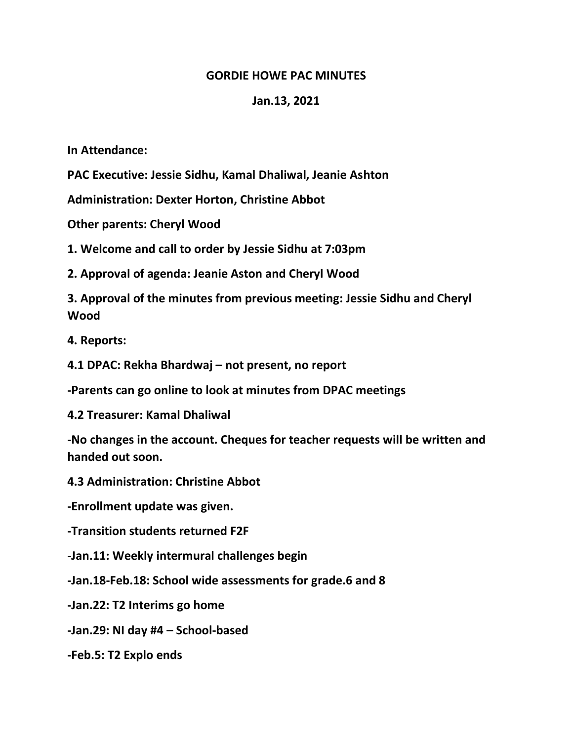## **GORDIE HOWE PAC MINUTES**

## **Jan.13, 2021**

**In Attendance:**

**PAC Executive: Jessie Sidhu, Kamal Dhaliwal, Jeanie Ashton**

**Administration: Dexter Horton, Christine Abbot**

**Other parents: Cheryl Wood**

**1. Welcome and call to order by Jessie Sidhu at 7:03pm**

**2. Approval of agenda: Jeanie Aston and Cheryl Wood**

**3. Approval of the minutes from previous meeting: Jessie Sidhu and Cheryl Wood**

**4. Reports:** 

**4.1 DPAC: Rekha Bhardwaj – not present, no report**

**-Parents can go online to look at minutes from DPAC meetings**

**4.2 Treasurer: Kamal Dhaliwal**

**-No changes in the account. Cheques for teacher requests will be written and handed out soon.** 

**4.3 Administration: Christine Abbot**

**-Enrollment update was given.** 

**-Transition students returned F2F**

**-Jan.11: Weekly intermural challenges begin**

**-Jan.18-Feb.18: School wide assessments for grade.6 and 8**

**-Jan.22: T2 Interims go home**

**-Jan.29: NI day #4 – School-based**

**-Feb.5: T2 Explo ends**